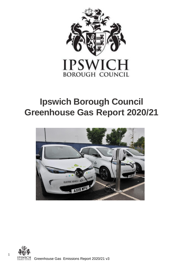

# **Ipswich Borough Council Greenhouse Gas Report 2020/21**



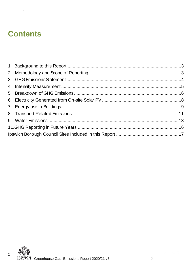## **Contents**

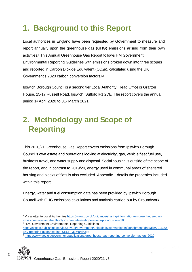## <span id="page-2-0"></span>**1. Background to this Report**

Local authorities in England have been requested by Government to measure and report annually upon the greenhouse gas (GHG) emissions arising from their own activities. <sup>1</sup> This Annual Greenhouse Gas Report follows HM Government Environmental Reporting Guidelines with emissions broken down into three scopes and reported in Carbon Dioxide Equivalent (CO<sub>2</sub>e), calculated using the UK Government's 2020 carbon conversion factors.<sup>2,3</sup>

Ipswich Borough Council is a second tier Local Authority. Head Office is Grafton House, 15-17 Russell Road, Ipswich, Suffolk IP1 2DE. The report covers the annual period  $1$ <sup>st</sup> April 2020 to  $31$ <sup>st</sup> March 2021.

## <span id="page-2-1"></span>**2. Methodology and Scope of Reporting**

This 2020/21 Greenhouse Gas Report covers emissions from Ipswich Borough Council's own estate and operations looking at electricity, gas, vehicle fleet fuel use, business travel, and water supply and disposal. Social housing is outside of the scope of the report, and in contrast to 2019/20, energy used in communal areas of sheltered housing and blocks of flats is also excluded. Appendix 1 details the properties included within this report.

Energy, water and fuel consumption data has been provided by Ipswich Borough Council with GHG emissions calculations and analysis carried out by Groundwork

1 Via a letter to Local Authorities [https://www.gov.uk/guidance/sharing-information-on-greenhouse-gas](https://www.gov.uk/guidance/sharing-information-on-greenhouse-gas-emissions-from-local-authority-own-estate-and-operations-previously-ni-185)[emissions-from-local-authority-own-estate-and-operations-previously-ni-185](https://www.gov.uk/guidance/sharing-information-on-greenhouse-gas-emissions-from-local-authority-own-estate-and-operations-previously-ni-185) 

<sup>2</sup> H.M. Government Environmental Reporting Guidelines

[https://assets.publishing.service.gov.uk/government/uploads/system/uploads/attachment\\_data/file/791529/](https://assets.publishing.service.gov.uk/government/uploads/system/uploads/attachment_data/file/791529/Env-reporting-guidance_inc_SECR_31March.pdf) [Env-reporting-guidance\\_inc\\_SECR\\_31March.pdf](https://assets.publishing.service.gov.uk/government/uploads/system/uploads/attachment_data/file/791529/Env-reporting-guidance_inc_SECR_31March.pdf) 

<sup>3</sup> <https://www.gov.uk/government/publications/greenhouse-gas-reporting-conversion-factors-2020>

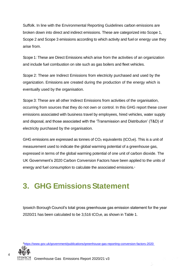Suffolk. In line with the Environmental Reporting Guidelines carbon emissions are broken down into direct and indirect emissions. These are categorized into Scope 1, Scope 2 and Scope 3 emissions according to which activity and fuel or energy use they arise from.

Scope 1: These are Direct Emissions which arise from the activities of an organization and include fuel combustion on site such as gas boilers and fleet vehicles.

Scope 2: These are Indirect Emissions from electricity purchased and used by the organization. Emissions are created during the production of the energy which is eventually used by the organisation.

Scope 3: These are all other Indirect Emissions from activities of the organisation, occurring from sources that they do not own or control. In this GHG report these cover emissions associated with business travel by employees, hired vehicles, water supply and disposal, and those associated with the 'Transmission and Distribution' (T&D) of electricity purchased by the organisation.

GHG emissions are expressed as tonnes of  $CO<sub>2</sub>$  equivalents (tCO<sub>2</sub>e). This is a unit of measurement used to indicate the global warming potential of a greenhouse gas, expressed in terms of the global warming potential of one unit of carbon dioxide. The UK Government's 2020 Carbon Conversion Factors have been applied to the units of energy and fuel consumption to calculate the associated emissions.<sup>4</sup>

### <span id="page-3-0"></span>**3. GHG Emissions Statement**

Ipswich Borough Council's total gross greenhouse gas emission statement for the year 2020/21 has been calculated to be  $3,516$  tCO<sub>2</sub>e, as shown in Table 1.

<sup>4</sup><https://www.gov.uk/government/publications/greenhouse-gas-reporting-conversion-factors-2020>

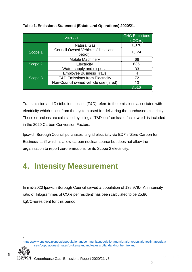|         | <b>GHG Emissions</b><br>(tCO <sub>2</sub> e)  |       |
|---------|-----------------------------------------------|-------|
|         | <b>Natural Gas</b>                            | 1,370 |
| Scope 1 | Council Owned Vehicles (diesel and<br>petrol) | 1,124 |
|         | <b>Mobile Machinery</b>                       | 66    |
| Scope 2 | Electricity                                   |       |
|         | Water supply and disposal                     | 33    |
|         | <b>Employee Business Travel</b>               | 4     |
| Scope 3 | <b>T&amp;D Emissions from Electricity</b>     | 72    |
|         | Non-Council owned vehicle use (hired)         | 13    |
|         |                                               | 3,516 |

#### **Table 1. Emissions Statement (Estate and Operations) 2020/21**.

Transmission and Distribution Losses (T&D) refers to the emissions associated with electricity which is lost from the system used for delivering the purchased electricity. These emissions are calculated by using a 'T&D loss' emission factor which is included in the 2020 Carbon Conversion Factors.

Ipswich Borough Council purchases its grid electricity via EDF's 'Zero Carbon for Business' tariff which is a low-carbon nuclear source but does not allow the organisation to report zero emissions for its Scope 2 electricity.

### <span id="page-4-0"></span>**4. Intensity Measurement**

In mid-2020 Ipswich Borough Council served a population of 135,979.<sup>5</sup> An intensity ratio of 'kilogrammes of CO2e per resident' has been calculated to be 25.86 kgCO2e/resident for this period.

[https://www.ons.gov.uk/peoplepopulationandcommunity/populationandmigration/populationestimates/data](https://www.ons.gov.uk/peoplepopulationandcommunity/populationandmigration/populationestimates/datasets/populationestimatesforukenglandandwalesscotlandandnorthernireland) [sets/populationestimatesforukenglandandwalesscotlandandnorthernireland](https://www.ons.gov.uk/peoplepopulationandcommunity/populationandmigration/populationestimates/datasets/populationestimatesforukenglandandwalesscotlandandnorthernireland) 

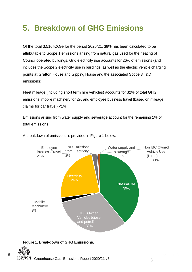## <span id="page-5-0"></span>**5. Breakdown of GHG Emissions**

Of the total 3,516 tCO2e for the period 2020/21, 39% has been calculated to be attributable to Scope 1 emissions arising from natural gas used for the heating of Council operated buildings. Grid electricity use accounts for 26% of emissions (and includes the Scope 2 electricity use in buildings, as well as the electric vehicle charging points at Grafton House and Gipping House and the associated Scope 3 T&D emissions).

Fleet mileage (including short term hire vehicles) accounts for 32% of total GHG emissions, mobile machinery for 2% and employee business travel (based on mileage claims for car travel) <1%.

Emissions arising from water supply and sewerage account for the remaining 1% of total emissions.



A breakdown of emissions is provided in Figure 1 below.



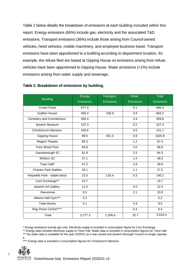Table 2 below details the breakdown of emissions at each building included within this report. Energy emissions (65%) include gas, electricity and the associated T&D emissions. Transport emissions (36%) include those arising from Council owned vehicles, hired vehicles, mobile machinery, and employee business travel. Transport emissions have been apportioned to a building according to department location, for example, the refuse fleet are based at Gipping House so emissions arising from refuse vehicles have been apportioned to Gipping House. Water emissions (<1%) include emissions arising from water supply and sewerage.

|                               | Energy           | <b>Transport</b> | Water     | <b>Total</b>     |
|-------------------------------|------------------|------------------|-----------|------------------|
| <b>Building</b>               | <b>Emissions</b> | <b>Emissions</b> | Emissions | <b>Emissions</b> |
| Crown Pools                   | 677.4            |                  | 9.1       | 686.4            |
| <b>Grafton House</b>          | 493.4            | 168.9            | 0.9       | 663.2            |
| Cemetery and Crematorium      | 356.4            |                  | 3.4       | 359.8            |
| Ipswich Museum                | 107.3            |                  | 0.2       | 107.4            |
| <b>Christchurch Mansion</b>   | 100.6            |                  | 0.5       | 101.1            |
| <b>Gipping House</b>          | 98.6             | 921.4            | 0.9       | 1020.8           |
| <b>Regent Theatre</b>         | 86.3             |                  | 1.2       | 87.4             |
| Fore Street Pool              | 84.8             |                  | 2.0       | 86.8             |
| Gainsborough SC               | 81.8             |                  | 2.5       | 84.3             |
| <b>Whitton SC</b>             | 47.1             |                  | 1.4       | 48.5             |
| Town Hall*                    | 47.2             |                  | 2.6       | 49.9             |
| Chantry Park Stables          | 26.1             |                  | 1.1       | 27.2             |
| Holywells Park - stable block | 23.5             | 116.4            | 0.3       | 140.2            |
| Corn Exchange**               | 15.7             |                  |           | 15.7             |
| Ipswich Art Gallery           | 12.3             |                  | 0.0       | 12.4             |
| Ransomes                      | 8.5              |                  | 2.1       | 10.5             |
| Athena Hall Gym***            | 5.2              |                  |           | 5.2              |
| <b>Toilet blocks</b>          | 5.1              |                  | 4.4       | 9.5              |
| Reg Driver Centre****         |                  |                  | 0.4       | 0.4              |
| Total                         | 2,277.3          | 1,206.6          | 32.7      | 3,516.4          |

#### **Table 2. Breakdown of emissions by building.**

\* Energy emissions include gas only. Electricity supply is included in consumption figure for Corn Exchange.

\*\* Energy data includes electricity supply to Town Hall. Water data is included in consumption figures for Town Hall. \*\*\* No water data is available for the year 2020/21 as it was closed and Ipswich Borough Council no longer operate

it.

\*\*\*\* Energy data is included in consumption figures for Christchurch Mansion.

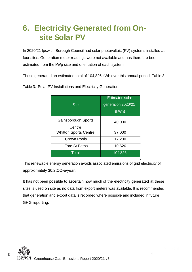## <span id="page-7-0"></span>**6. Electricity Generated from On site Solar PV**

In 2020/21 Ipswich Borough Council had solar photovoltaic (PV) systems installed at four sites. Generation meter readings were not available and has therefore been estimated from the kWp size and orientation of each system.

These generated an estimated total of 104,826 kWh over this annual period, Table 3.

| <b>Site</b>                   | <b>Estimated solar</b><br>generation 2020/21<br>(kWh) |
|-------------------------------|-------------------------------------------------------|
| Gainsborough Sports<br>Centre | 40,000                                                |
| <b>Whitton Sports Centre</b>  | 37,000                                                |
| <b>Crown Pools</b>            | 17,200                                                |
| Fore St Baths                 | 10,626                                                |
| <b>Total</b>                  | 104,826                                               |

Table 3. Solar PV Installations and Electricity Generation.

This renewable energy generation avoids associated emissions of grid electricity of approximately 30.2tCO<sub>2</sub>e/year.

It has not been possible to ascertain how much of the electricity generated at these sites is used on site as no data from export meters was available. It is recommended that generation and export data is recorded where possible and included in future GHG reporting.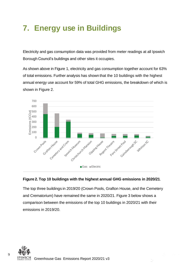## <span id="page-8-0"></span>**7. Energy use in Buildings**

Electricity and gas consumption data was provided from meter readings at all Ipswich Borough Council's buildings and other sites it occupies.

As shown above in Figure 1, electricity and gas consumption together account for 63% of total emissions. Further analysis has shown that the 10 buildings with the highest annual energy use account for 59% of total GHG emissions, the breakdown of which is shown in Figure 2.



#### **Figure 2. Top 10 buildings with the highest annual GHG emissions in 2020/21**.

The top three buildings in 2019/20 (Crown Pools, Grafton House, and the Cemetery and Crematorium) have remained the same in 2020/21. Figure 3 below shows a comparison between the emissions of the top 10 buildings in 2020/21 with their

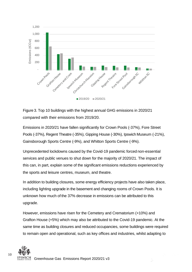

Figure 3. Top 10 buildings with the highest annual GHG emissions in 2020/21 compared with their emissions from 2019/20.

Emissions in 2020/21 have fallen significantly for Crown Pools (-37%), Fore Street Pools (-37%), Regent Theatre (-35%), Gipping House (-30%), Ipswich Museum (-21%), Gainsborough Sports Centre (-9%), and Whitton Sports Centre (-9%).

Unprecedented lockdowns caused by the Covid-19 pandemic forced non-essential services and public venues to shut down for the majority of 2020/21. The impact of this can, in part, explain some of the significant emissions reductions experienced by the sports and leisure centres, museum, and theatre.

In addition to building closures, some energy efficiency projects have also taken place, including lighting upgrade in the basement and changing rooms of Crown Pools. It is unknown how much of the 37% decrease in emissions can be attributed to this upgrade.

However, emissions have risen for the Cemetery and Crematorium (+10%) and Grafton House (+5%) which may also be attributed to the Covid-19 pandemic. At the same time as building closures and reduced occupancies, some buildings were required

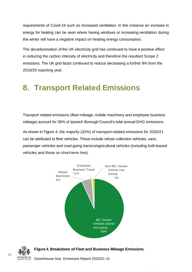requirements of Covid-19 such as increased ventilation. In this instance an increase in energy for heating can be seen where having windows or increasing ventilation during the winter will have a negative impact on heating energy consumption.

The decarbonisation of the UK electricity grid has continued to have a positive effect in reducing the carbon intensity of electricity and therefore the resultant Scope 2 emissions. The UK grid factor continued to reduce decreasing a further 9% from the 2019/20 reporting year.

### <span id="page-10-0"></span>**8. Transport Related Emissions**

Transport related emissions (fleet mileage, mobile machinery and employee business mileage) account for 36% of Ipswich Borough Council's total annual GHG emissions.

As shown in Figure 4, the majority (32%) of transport-related emissions for 2020/21 can be attributed to fleet vehicles. These include refuse collection vehicles, vans, passenger vehicles and road-going tractors/agricultural vehicles (including both leased vehicles and those on short-term hire).



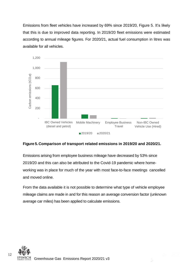Emissions from fleet vehicles have increased by 69% since 2019/20, Figure 5. It's likely that this is due to improved data reporting. In 2019/20 fleet emissions were estimated according to annual mileage figures. For 2020/21, actual fuel consumption in litres was available for all vehicles.



#### **Figure 5. Comparison of transport related emissions in 2019/20 and 2020/21.**

Emissions arising from employee business mileage have decreased by 53% since 2019/20 and this can also be attributed to the Covid-19 pandemic where homeworking was in place for much of the year with most face-to-face meetings cancelled and moved online.

From the data available it is not possible to determine what type of vehicle employee mileage claims are made in and for this reason an average conversion factor (unknown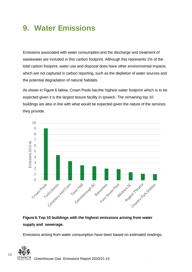### <span id="page-12-0"></span>**9. Water Emissions**

Emissions associated with water consumption and the discharge and treatment of wastewater are included in this carbon footprint. Although this represents 1% of the total carbon footprint, water use and disposal does have other environmental impacts which are not captured in carbon reporting, such as the depletion of water sources and the potential degradation of natural habitats.

As shown in Figure 6 below, Crown Pools has the highest water footprint which is to be expected given it is the largest leisure facility in Ipswich. The remaining top 10 buildings are also in line with what would be expected given the nature of the services they provide.



### **Figure 6. Top 10 buildings with the highest emissions arising from water supply and sewerage.**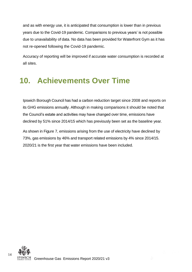and as with energy use, it is anticipated that consumption is lower than in previous years due to the Covid-19 pandemic. Comparisons to previous years' is not possible due to unavailability of data. No data has been provided for Waterfront Gym as it has not re-opened following the Covid-19 pandemic.

Accuracy of reporting will be improved if accurate water consumption is recorded at all sites.

## **10. Achievements Over Time**

Ipswich Borough Council has had a carbon reduction target since 2008 and reports on its GHG emissions annually. Although in making comparisons it should be noted that the Council's estate and activities may have changed over time, emissions have declined by 51% since 2014/15 which has previously been set as the baseline year.

As shown in Figure 7, emissions arising from the use of electricity have declined by 73%, gas emissions by 46% and transport related emissions by 4% since 2014/15. 2020/21 is the first year that water emissions have been included.

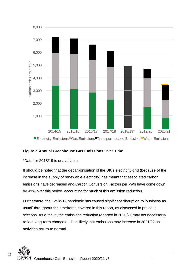

#### **Figure 7. Annual Greenhouse Gas Emissions Over Time**.

\*Data for 2018/19 is unavailable.

It should be noted that the decarbonisation of the UK's electricity grid (because of the increase in the supply of renewable electricity) has meant that associated carbon emissions have decreased and Carbon Conversion Factors per kWh have come down by 49% over this period, accounting for much of this emission reduction.

Furthermore, the Covid-19 pandemic has caused significant disruption to 'business as usual' throughout the timeframe covered in this report, as discussed in previous sections. As a result, the emissions reduction reported in 2020/21 may not necessarily reflect long-term change and it is likely that emissions may increase in 2021/22 as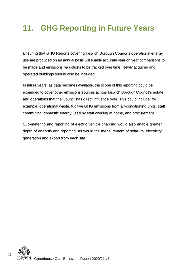## <span id="page-15-0"></span>**11. GHG Reporting in Future Years**

Ensuring that GHG Reports covering Ipswich Borough Council's operational energy use are produced on an annual basis will enable accurate year on year comparisons to be made and emissions reductions to be tracked over time. Newly acquired and operated buildings should also be included.

In future years, as data becomes available, the scope of this reporting could be expanded to cover other emissions sources across Ipswich Borough Council's estate and operations that the Council has direct influence over. This could include, for example, operational waste, fugitive GHG emissions from air-conditioning units, staff commuting, domestic energy used by staff working at home, and procurement.

Sub-metering and reporting of electric vehicle charging would also enable greater depth of analysis and reporting, as would the measurement of solar PV electricity generation and export from each site.